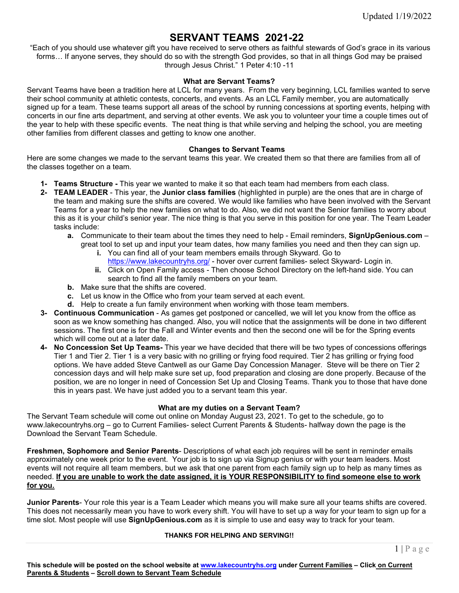# **SERVANT TEAMS 2021-22**

"Each of you should use whatever gift you have received to serve others as faithful stewards of God's grace in its various forms… If anyone serves, they should do so with the strength God provides, so that in all things God may be praised through Jesus Christ." 1 Peter 4:10 -11

#### **What are Servant Teams?**

Servant Teams have been a tradition here at LCL for many years. From the very beginning, LCL families wanted to serve their school community at athletic contests, concerts, and events. As an LCL Family member, you are automatically signed up for a team. These teams support all areas of the school by running concessions at sporting events, helping with concerts in our fine arts department, and serving at other events. We ask you to volunteer your time a couple times out of the year to help with these specific events. The neat thing is that while serving and helping the school, you are meeting other families from different classes and getting to know one another.

#### **Changes to Servant Teams**

Here are some changes we made to the servant teams this year. We created them so that there are families from all of the classes together on a team.

- **1- Teams Structure -** This year we wanted to make it so that each team had members from each class.
- **2- TEAM LEADER**  This year, the **Junior class families** (highlighted in purple) are the ones that are in charge of the team and making sure the shifts are covered. We would like families who have been involved with the Servant Teams for a year to help the new families on what to do. Also, we did not want the Senior families to worry about this as it is your child's senior year. The nice thing is that you serve in this position for one year. The Team Leader tasks include:
	- **a.** Communicate to their team about the times they need to help Email reminders, **SignUpGenious.com** great tool to set up and input your team dates, how many families you need and then they can sign up.
		- **i.** You can find all of your team members emails through Skyward. Go to <https://www.lakecountryhs.org/> - hover over current families- select Skyward- Login in.
		- **ii.** Click on Open Family access Then choose School Directory on the left-hand side. You can search to find all the family members on your team.
	- **b.** Make sure that the shifts are covered.
	- **c.** Let us know in the Office who from your team served at each event.
	- **d.** Help to create a fun family environment when working with those team members.
- **3- Continuous Communication** As games get postponed or cancelled, we will let you know from the office as soon as we know something has changed. Also, you will notice that the assignments will be done in two different sessions. The first one is for the Fall and Winter events and then the second one will be for the Spring events which will come out at a later date.
- **4- No Concession Set Up Teams-** This year we have decided that there will be two types of concessions offerings Tier 1 and Tier 2. Tier 1 is a very basic with no grilling or frying food required. Tier 2 has grilling or frying food options. We have added Steve Cantwell as our Game Day Concession Manager. Steve will be there on Tier 2 concession days and will help make sure set up, food preparation and closing are done properly. Because of the position, we are no longer in need of Concession Set Up and Closing Teams. Thank you to those that have done this in years past. We have just added you to a servant team this year.

#### **What are my duties on a Servant Team?**

The Servant Team schedule will come out online on Monday August 23, 2021. To get to the schedule, go to www.lakecountryhs.org – go to Current Families- select Current Parents & Students- halfway down the page is the Download the Servant Team Schedule.

**Freshmen, Sophomore and Senior Parents**- Descriptions of what each job requires will be sent in reminder emails approximately one week prior to the event. Your job is to sign up via Signup genius or with your team leaders. Most events will not require all team members, but we ask that one parent from each family sign up to help as many times as needed. **If you are unable to work the date assigned, it is YOUR RESPONSIBILITY to find someone else to work for you.**

**Junior Parents**- Your role this year is a Team Leader which means you will make sure all your teams shifts are covered. This does not necessarily mean you have to work every shift. You will have to set up a way for your team to sign up for a time slot. Most people will use **SignUpGenious.com** as it is simple to use and easy way to track for your team.

#### **THANKS FOR HELPING AND SERVING!!**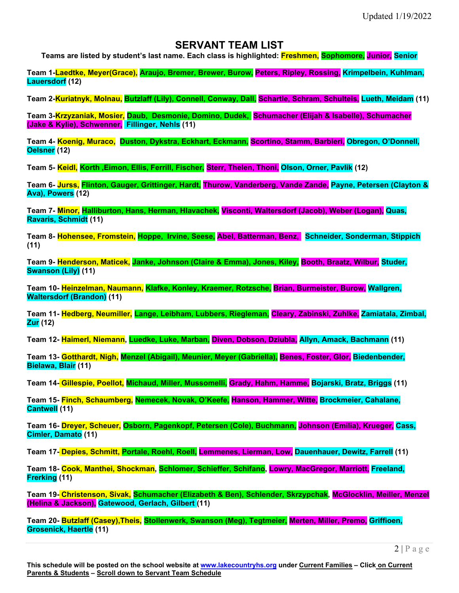## **SERVANT TEAM LIST**

**Teams are listed by student's last name. Each class is highlighted: Freshmen, Sophomore, Junior, Senior**

**Team 1-Laedtke, Meyer(Grace), Araujo, Bremer, Brewer, Burow, Peters, Ripley, Rossing, Krimpelbein, Kuhlman, Lauersdorf (12)**

**Team 2-Kuriatnyk, Molnau, Butzlaff (Lily), Connell, Conway, Dall, Schartle, Schram, Schulteis, Lueth, Meidam (11)**

**Team 3-Krzyzaniak, Mosier, Daub, Desmonie, Domino, Dudek, Schumacher (Elijah & Isabelle), Schumacher (Jake & Kylie), Schwenner, Fillinger, Nehls (11)**

**Team 4- Koenig, Muraco, Duston, Dykstra, Eckhart, Eckmann, Scortino, Stamm, Barbieri, Obregon, O'Donnell, Oelsner (12)**

**Team 5- Keidl, Korth ,Eimon, Ellis, Ferrill, Fischer, Sterr, Thelen, Thoni, Olson, Orner, Pavlik (12)**

**Team 6- Jurss, Flinton, Gauger, Grittinger, Hardt, Thurow, Vanderberg, Vande Zande, Payne, Petersen (Clayton & Ava), Powers (12)**

**Team 7- Minor, Halliburton, Hans, Herman, Hlavachek, Visconti, Waltersdorf (Jacob), Weber (Logan), Quas, Ravaris, Schmidt (11)**

**Team 8- Hohensee, Fromstein, Hoppe, Irvine, Seese, Abel, Batterman, Benz, Schneider, Sonderman, Stippich (11)**

**Team 9- Henderson, Maticek, Janke, Johnson (Claire & Emma), Jones, Kiley, Booth, Braatz, Wilbur, Studer, Swanson (Lily) (11)**

**Team 10- Heinzelman, Naumann, Klafke, Konley, Kraemer, Rotzsche, Brian, Burmeister, Burow, Wallgren, Waltersdorf (Brandon) (11)**

**Team 11- Hedberg, Neumiller, Lange, Leibham, Lubbers, Riegleman, Cleary, Zabinski, Zuhlke, Zamiatala, Zimbal, Zur (12)**

**Team 12- Haimerl, Niemann, Luedke, Luke, Marban, Diven, Dobson, Dziubla, Allyn, Amack, Bachmann (11)**

**Team 13- Gotthardt, Nigh, Menzel (Abigail), Meunier, Meyer (Gabriella), Benes, Foster, Glor, Biedenbender, Bielawa, Blair (11)**

**Team 14- Gillespie, Poellot, Michaud, Miller, Mussomelli, Grady, Hahm, Hamme, Bojarski, Bratz, Briggs (11)**

**Team 15- Finch, Schaumberg, Nemecek, Novak, O'Keefe, Hanson, Hammer, Witte, Brockmeier, Cahalane, Cantwell (11)**

**Team 16- Dreyer, Scheuer, Osborn, Pagenkopf, Petersen (Cole), Buchmann, Johnson (Emilia), Krueger, Cass, Cimler, Damato (11)**

**Team 17- Depies, Schmitt, Portale, Roehl, Roell, Lemmenes, Lierman, Low, Dauenhauer, Dewitz, Farrell (11)**

**Team 18- Cook, Manthei, Shockman, Schlomer, Schieffer, Schifano, Lowry, MacGregor, Marriott, Freeland, Frerking (11)**

**Team 19- Christenson, Sivak, Schumacher (Elizabeth & Ben), Schlender, Skrzypchak, McGlocklin, Meiller, Menzel (Helina & Jackson), Gatewood, Gerlach, Gilbert (11)**

**Team 20- Butzlaff (Casey),Theis, Stollenwerk, Swanson (Meg), Tegtmeier, Merten, Miller, Premo, Griffioen, Grosenick, Haertle (11)**

 $2|P$ age